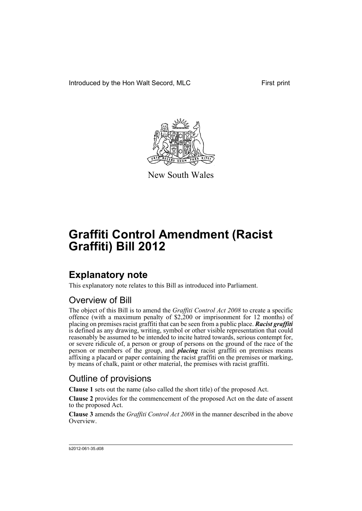Introduced by the Hon Walt Secord, MLC First print



New South Wales

# **Graffiti Control Amendment (Racist Graffiti) Bill 2012**

### **Explanatory note**

This explanatory note relates to this Bill as introduced into Parliament.

#### Overview of Bill

The object of this Bill is to amend the *Graffiti Control Act 2008* to create a specific offence (with a maximum penalty of \$2,200 or imprisonment for 12 months) of placing on premises racist graffiti that can be seen from a public place. *Racist graffiti* is defined as any drawing, writing, symbol or other visible representation that could reasonably be assumed to be intended to incite hatred towards, serious contempt for, or severe ridicule of, a person or group of persons on the ground of the race of the person or members of the group, and *placing* racist graffiti on premises means affixing a placard or paper containing the racist graffiti on the premises or marking, by means of chalk, paint or other material, the premises with racist graffiti.

#### Outline of provisions

**Clause 1** sets out the name (also called the short title) of the proposed Act.

**Clause 2** provides for the commencement of the proposed Act on the date of assent to the proposed Act.

**Clause 3** amends the *Graffiti Control Act 2008* in the manner described in the above Overview.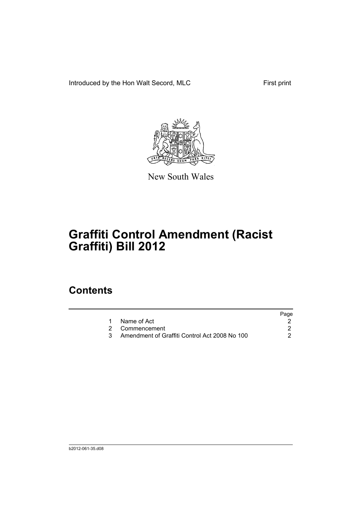Introduced by the Hon Walt Secord, MLC First print



New South Wales

# **Graffiti Control Amendment (Racist Graffiti) Bill 2012**

### **Contents**

|                                               | Page |
|-----------------------------------------------|------|
| 1 Name of Act                                 |      |
| 2 Commencement                                |      |
| Amendment of Graffiti Control Act 2008 No 100 |      |
|                                               |      |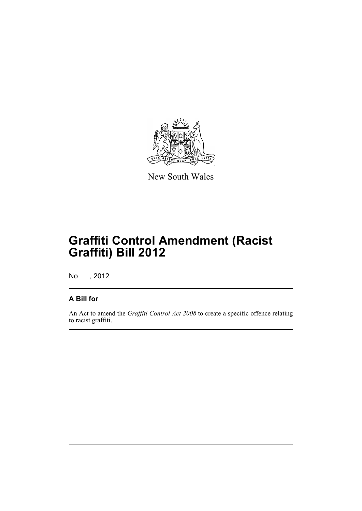

New South Wales

## **Graffiti Control Amendment (Racist Graffiti) Bill 2012**

No , 2012

#### **A Bill for**

An Act to amend the *Graffiti Control Act 2008* to create a specific offence relating to racist graffiti.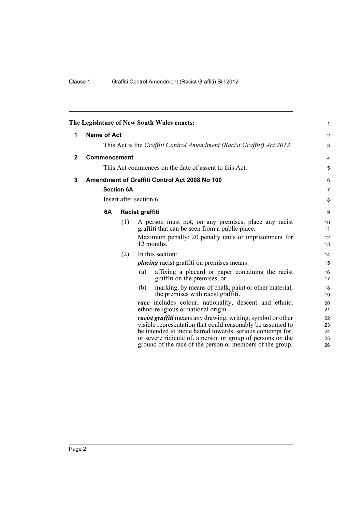<span id="page-5-2"></span><span id="page-5-1"></span><span id="page-5-0"></span>

| The Legislature of New South Wales enacts: |                                                                        |     |     |                                                                                                                                                                                                 |                |  |
|--------------------------------------------|------------------------------------------------------------------------|-----|-----|-------------------------------------------------------------------------------------------------------------------------------------------------------------------------------------------------|----------------|--|
| 1                                          | <b>Name of Act</b>                                                     |     |     |                                                                                                                                                                                                 |                |  |
|                                            | This Act is the Graffiti Control Amendment (Racist Graffiti) Act 2012. |     |     |                                                                                                                                                                                                 | 3              |  |
| $\mathbf{2}$                               | Commencement                                                           |     |     |                                                                                                                                                                                                 | $\overline{4}$ |  |
|                                            | This Act commences on the date of assent to this Act.                  |     |     |                                                                                                                                                                                                 |                |  |
| 3                                          |                                                                        |     |     | Amendment of Graffiti Control Act 2008 No 100                                                                                                                                                   | 6              |  |
|                                            | <b>Section 6A</b><br>Insert after section 6:                           |     |     |                                                                                                                                                                                                 |                |  |
|                                            |                                                                        |     |     |                                                                                                                                                                                                 |                |  |
|                                            | 6A<br>Racist graffiti                                                  |     |     |                                                                                                                                                                                                 | 9              |  |
|                                            |                                                                        | (1) |     | A person must not, on any premises, place any racist<br>graffiti that can be seen from a public place.                                                                                          | 10<br>11       |  |
|                                            |                                                                        |     |     | Maximum penalty: 20 penalty units or imprisonment for<br>12 months.                                                                                                                             | 12<br>13       |  |
|                                            |                                                                        | (2) |     | In this section:                                                                                                                                                                                | 14             |  |
|                                            |                                                                        |     |     | <i>placing</i> racist graffiti on premises means:                                                                                                                                               | 15             |  |
|                                            |                                                                        |     | (a) | affixing a placard or paper containing the racist<br>graffiti on the premises, or                                                                                                               | 16<br>17       |  |
|                                            |                                                                        |     | (b) | marking, by means of chalk, paint or other material,<br>the premises with racist graffiti.                                                                                                      | 18<br>19       |  |
|                                            |                                                                        |     |     | <i>race</i> includes colour, nationality, descent and ethnic,<br>ethno-religious or national origin.                                                                                            | 20<br>21       |  |
|                                            |                                                                        |     |     | <i>racist graffiti</i> means any drawing, writing, symbol or other<br>visible representation that could reasonably be assumed to<br>be intended to incite hatred towards, serious contempt for, | 22<br>23<br>24 |  |
|                                            |                                                                        |     |     | or severe ridicule of, a person or group of persons on the<br>ground of the race of the person or members of the group.                                                                         | 25<br>26       |  |